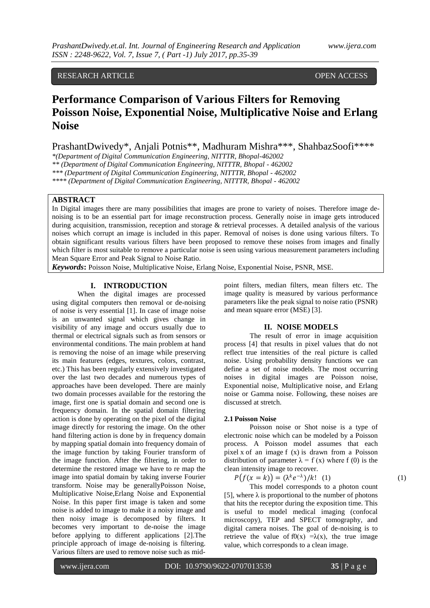# RESEARCH ARTICLE **CONTRACT ARTICLE**

# **Performance Comparison of Various Filters for Removing Poisson Noise, Exponential Noise, Multiplicative Noise and Erlang Noise**

PrashantDwivedy\*, Anjali Potnis\*\*, Madhuram Mishra\*\*\*, ShahbazSoofi\*\*\*\*

*\*(Department of Digital Communication Engineering, NITTTR, Bhopal-462002*

*\*\* (Department of Digital Communication Engineering, NITTTR, Bhopal - 462002*

*\*\*\* (Department of Digital Communication Engineering, NITTTR, Bhopal - 462002*

*\*\*\*\* (Department of Digital Communication Engineering, NITTTR, Bhopal - 462002*

# **ABSTRACT**

In Digital images there are many possibilities that images are prone to variety of noises. Therefore image denoising is to be an essential part for image reconstruction process. Generally noise in image gets introduced during acquisition, transmission, reception and storage & retrieval processes. A detailed analysis of the various noises which corrupt an image is included in this paper. Removal of noises is done using various filters. To obtain significant results various filters have been proposed to remove these noises from images and finally which filter is most suitable to remove a particular noise is seen using various measurement parameters including Mean Square Error and Peak Signal to Noise Ratio.

*Keywords***:** Poisson Noise, Multiplicative Noise, Erlang Noise, Exponential Noise, PSNR, MSE.

### **I. INTRODUCTION**

When the digital images are processed using digital computers then removal or de-noising of noise is very essential [1]. In case of image noise is an unwanted signal which gives change in visibility of any image and occurs usually due to thermal or electrical signals such as from sensors or environmental conditions. The main problem at hand is removing the noise of an image while preserving its main features (edges, textures, colors, contrast, etc.) This has been regularly extensively investigated over the last two decades and numerous types of approaches have been developed. There are mainly two domain processes available for the restoring the image, first one is spatial domain and second one is frequency domain. In the spatial domain filtering action is done by operating on the pixel of the digital image directly for restoring the image. On the other hand filtering action is done by in frequency domain by mapping spatial domain into frequency domain of the image function by taking Fourier transform of the image function. After the filtering, in order to determine the restored image we have to re map the image into spatial domain by taking inverse Fourier transform. Noise may be generallyPoisson Noise, Multiplicative Noise,Erlang Noise and Exponential Noise. In this paper first image is taken and some noise is added to image to make it a noisy image and then noisy image is decomposed by filters. It becomes very important to de-noise the image before applying to different applications [2].The principle approach of image de-noising is filtering. Various filters are used to remove noise such as midpoint filters, median filters, mean filters etc. The image quality is measured by various performance parameters like the peak signal to noise ratio (PSNR) and mean square error (MSE) [3].

# **II. NOISE MODELS**

The result of error in image acquisition process [4] that results in pixel values that do not reflect true intensities of the real picture is called noise. Using probability density functions we can define a set of noise models. The most occurring noises in digital images are Poisson noise, Exponential noise, Multiplicative noise, and Erlang noise or Gamma noise. Following, these noises are discussed at stretch.

#### **2.1 Poisson Noise**

Poisson noise or Shot noise is a type of electronic noise which can be modeled by a Poisson process. A Poisson model assumes that each pixel x of an image f (x) is drawn from a Poisson distribution of parameter  $\lambda = f(x)$  where f (0) is the clean intensity image to recover.

$$
P(f(x = k)) = (\lambda^k e^{-\lambda})/k! \quad (1)
$$

This model corresponds to a photon count [5], where  $\lambda$  is proportional to the number of photons that hits the receptor during the exposition time. This is useful to model medical imaging (confocal microscopy), TEP and SPECT tomography, and digital camera noises. The goal of de-noising is to retrieve the value of  $f0(x) = \lambda(x)$ , the true image value, which corresponds to a clean image.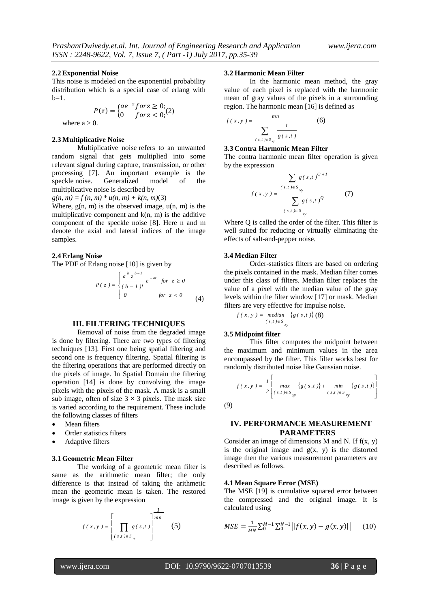#### **2.2 Exponential Noise**

This noise is modeled on the exponential probability distribution which is a special case of erlang with  $b=1$ .

$$
P(z) = \begin{cases} ae^{-z} for z \ge 0; \\ 0 & for z < 0; \end{cases}
$$

where  $a > 0$ .

# **2.3 Multiplicative Noise**

Multiplicative noise refers to an unwanted random signal that gets multiplied into some relevant signal during capture, transmission, or other processing [7]. An important example is the speckle noise. Generalized model of the multiplicative noise is described by

 $g(n, m) = f(n, m) * u(n, m) + k(n, m)$ (3)

Where,  $g(n, m)$  is the observed image,  $u(n, m)$  is the multiplicative component and  $k(n, m)$  is the additive component of the speckle noise [8]. Here n and m denote the axial and lateral indices of the image samples.

# **2.4 Erlang Noise**

The PDF of Erlang noise [10] is given by

$$
P(z) = \begin{cases} \frac{a^{b} z^{b-1}}{(b-1)!} e^{-az} & \text{for } z \ge 0 \\ 0 & \text{for } z < 0 \end{cases}
$$
(4)

#### **III. FILTERING TECHNIQUES**

Removal of noise from the degraded image is done by filtering. There are two types of filtering techniques [13]. First one being spatial filtering and second one is frequency filtering. Spatial filtering is the filtering operations that are performed directly on the pixels of image. In Spatial Domain the filtering operation [14] is done by convolving the image pixels with the pixels of the mask. A mask is a small sub image, often of size  $3 \times 3$  pixels. The mask size is varied according to the requirement. These include the following classes of filters

- Mean filters
- Order statistics filters
- Adaptive filters

#### **3.1 Geometric Mean Filter**

The working of a geometric mean filter is same as the arithmetic mean filter; the only difference is that instead of taking the arithmetic mean the geometric mean is taken. The restored image is given by the expression

$$
f(x, y) = \left[\prod_{(s,t) \in S_{xy}} g(s,t)\right]^{\frac{1}{mn}}
$$
 (5)

#### **3.2 Harmonic Mean Filter**

In the harmonic mean method, the gray value of each pixel is replaced with the harmonic mean of gray values of the pixels in a surrounding region. The harmonic mean [16] is defined as

$$
f(x, y) = \frac{mn}{\sum_{(s,t)\in S_{xy}} \frac{1}{g(s,t)}}
$$
 (6)

#### **3.3 Contra Harmonic Mean Filter**

The contra harmonic mean filter operation is given by the expression

$$
f(x, y) = \frac{\sum_{(s,t) \in S_{xy}} g(s,t)^{Q+1}}{\sum_{(s,t) \in S_{xy}} g(s,t)^{Q}}
$$
 (7)

Where Q is called the order of the filter. This filter is well suited for reducing or virtually eliminating the effects of salt-and-pepper noise.

#### **3.4 Median Filter**

Order-statistics filters are based on ordering the pixels contained in the mask. Median filter comes under this class of filters. Median filter replaces the value of a pixel with the median value of the gray levels within the filter window [17] or mask. Median filters are very effective for impulse noise.

$$
f(x, y) = median \{g(s,t)\}\text{ (8)}
$$

$$
(s,t) \in S_{xy}
$$

#### **3.5 Midpoint filter**

This filter computes the midpoint between the maximum and minimum values in the area encompassed by the filter. This filter works best for randomly distributed noise like Gaussian noise.

$$
f(x, y) = \frac{1}{2} \left[ \max_{\{s, t\} \in S_{xy}} \left\{ g(s, t) \right\} + \min_{\{s, t\} \in S_{xy}} \left\{ g(s, t) \right\} \right]
$$

(9)

## **IV. PERFORMANCE MEASUREMENT PARAMETERS**

Consider an image of dimensions M and N. If  $f(x, y)$ is the original image and  $g(x, y)$  is the distorted image then the various measurement parameters are described as follows.

#### **4.1 Mean Square Error (MSE)**

The MSE [19] is cumulative squared error between the compressed and the original image. It is calculated using

$$
MSE = \frac{1}{MN} \sum_{0}^{M-1} \sum_{0}^{N-1} |f(x, y) - g(x, y)|
$$
 (10)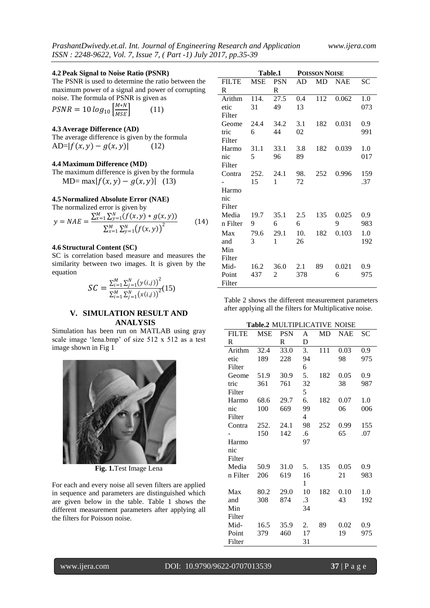#### **4.2 Peak Signal to Noise Ratio (PSNR)**

The PSNR is used to determine the ratio between the maximum power of a signal and power of corrupting noise. The formula of PSNR is given as

$$
PSNR = 10 \log_{10} \left[ \frac{M*N}{MSE} \right] \tag{11}
$$

### **4.3 Average Difference (AD)**

The average difference is given by the formula AD= $|f(x, y) - g(x, y)|$  (12)

#### **4.4 Maximum Difference (MD)**

The maximum difference is given by the formula MD= max $|f(x, y) - g(x, y)|$  (13)

#### **4.5 Normalized Absolute Error (NAE)**

The normalized error is given by

$$
y = NAE = \frac{\sum_{x=1}^{M} \sum_{y=1}^{N} (f(x, y) * g(x, y))}{\sum_{x=1}^{M} \sum_{y=1}^{N} (f(x, y))^{2}}
$$
(14)

#### **4.6 Structural Content (SC)**

SC is correlation based measure and measures the similarity between two images. It is given by the equation

$$
SC = \frac{\sum_{i=1}^{M} \sum_{j=1}^{N} (y(i,j))^{2}}{\sum_{i=1}^{M} \sum_{j=1}^{N} (x(i,j))^{2}} (15)
$$

# **V. SIMULATION RESULT AND ANALYSIS**

Simulation has been run on MATLAB using gray scale image "lena.bmp" of size 512 x 512 as a test image shown in Fig 1



**Fig. 1.**Test Image Lena

For each and every noise all seven filters are applied in sequence and parameters are distinguished which are given below in the table. Table 1 shows the different measurement parameters after applying all the filters for Poisson noise.

|              | <b>Table.1</b> |                | <b>POISSON NOISE</b> |           |            |     |
|--------------|----------------|----------------|----------------------|-----------|------------|-----|
| <b>FILTE</b> | <b>MSE</b>     | <b>PSN</b>     | AD                   | <b>MD</b> | <b>NAE</b> | SC  |
| R            |                | R              |                      |           |            |     |
| Arithm       | 114.           | 27.5           | 0.4                  | 112       | 0.062      | 1.0 |
| etic         | 31             | 49             | 13                   |           |            | 073 |
| Filter       |                |                |                      |           |            |     |
| Geome        | 24.4           | 34.2           | 3.1                  | 182       | 0.031      | 0.9 |
| tric         | 6              | 44             | 02                   |           |            | 991 |
| Filter       |                |                |                      |           |            |     |
| Harmo        | 31.1           | 33.1           | 3.8                  | 182       | 0.039      | 1.0 |
| nic          | 5              | 96             | 89                   |           |            | 017 |
| Filter       |                |                |                      |           |            |     |
| Contra       | 252.           | 24.1           | 98.                  | 252       | 0.996      | 159 |
|              | 15             | 1              | 72                   |           |            | .37 |
| Harmo        |                |                |                      |           |            |     |
| nic          |                |                |                      |           |            |     |
| Filter       |                |                |                      |           |            |     |
| Media        | 19.7           | 35.1           | 2.5                  | 135       | 0.025      | 0.9 |
| n Filter     | 9              | 6              | 6                    |           | 9          | 983 |
| Max          | 79.6           | 29.1           | 10.                  | 182       | 0.103      | 1.0 |
| and          | 3              | 1              | 26                   |           |            | 192 |
| Min          |                |                |                      |           |            |     |
| Filter       |                |                |                      |           |            |     |
| Mid-         | 16.2           | 36.0           | 2.1                  | 89        | 0.021      | 0.9 |
| Point        | 437            | $\mathfrak{D}$ | 378                  |           | 6          | 975 |
| Filter       |                |                |                      |           |            |     |

Table 2 shows the different measurement parameters after applying all the filters for Multiplicative noise.

**Table.2** MULTIPLICATIVE NOISE

| <b>FILTE</b> | <b>MSE</b> | <b>PSN</b> | A         | <b>MD</b> | <b>NAE</b> | <b>SC</b> |
|--------------|------------|------------|-----------|-----------|------------|-----------|
| R            |            | R          | D         |           |            |           |
| Arithm       | 32.4       | 33.0       | 3.        | 111       | 0.03       | 0.9       |
| etic         | 189        | 228        | 94        |           | 98         | 975       |
| Filter       |            |            | 6         |           |            |           |
| Geome        | 51.9       | 30.9       | 5.        | 182       | 0.05       | 0.9       |
| tric         | 361        | 761        | 32        |           | 38         | 987       |
| Filter       |            |            | 5         |           |            |           |
| Harmo        | 68.6       | 29.7       | 6.        | 182       | 0.07       | 1.0       |
| nic          | 100        | 669        | 99        |           | 06         | 006       |
| Filter       |            |            | 4         |           |            |           |
| Contra       | 252.       | 24.1       | 98        | 252       | 0.99       | 155       |
|              | 150        | 142        | .6        |           | 65         | .07       |
| Harmo        |            |            | 97        |           |            |           |
| nic          |            |            |           |           |            |           |
| Filter       |            |            |           |           |            |           |
| Media        | 50.9       | 31.0       | 5.        | 135       | 0.05       | 0.9       |
| n Filter     | 206        | 619        | 16        |           | 21         | 983       |
|              |            |            | 1         |           |            |           |
| Max          | 80.2       | 29.0       | 10        | 182       | 0.10       | 1.0       |
| and          | 308        | 874        | $\cdot$ 3 |           | 43         | 192       |
| Min          |            |            | 34        |           |            |           |
| Filter       |            |            |           |           |            |           |
| Mid-         | 16.5       | 35.9       | 2.        | 89        | 0.02       | 0.9       |
| Point        | 379        | 460        | 17        |           | 19         | 975       |
| Filter       |            |            | 31        |           |            |           |

www.ijera.com DOI: 10.9790/9622-0707013539 **37** | P a g e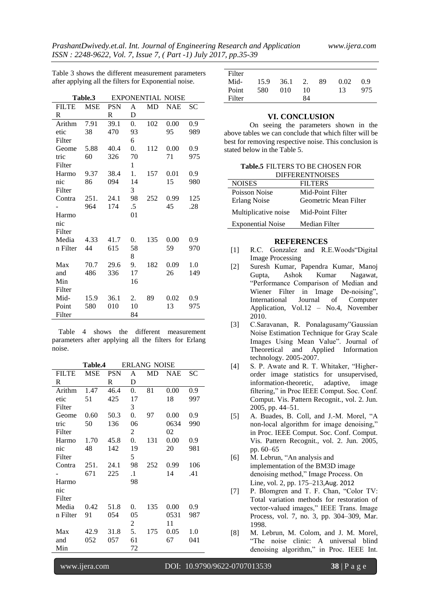Table 3 shows the different measurement parameters after applying all the filters for Exponential noise.

| Table.3      | <b>EXPONENTIAL</b><br><b>NOISE</b> |            |                  |           |            |     |
|--------------|------------------------------------|------------|------------------|-----------|------------|-----|
| <b>FILTE</b> | <b>MSE</b>                         | <b>PSN</b> | A                | <b>MD</b> | <b>NAE</b> | SС  |
| R            |                                    | R          | D                |           |            |     |
| Arithm       | 7.91                               | 39.1       | $\overline{0}$ . | 102       | 0.00       | 0.9 |
| etic         | 38                                 | 470        | 93               |           | 95         | 989 |
| Filter       |                                    |            | 6                |           |            |     |
| Geome        | 5.88                               | 40.4       | 0.               | 112       | 0.00       | 0.9 |
| tric         | 60                                 | 326        | 70               |           | 71         | 975 |
| Filter       |                                    |            | 1                |           |            |     |
| Harmo        | 9.37                               | 38.4       | 1.               | 157       | 0.01       | 0.9 |
| nic          | 86                                 | 094        | 14               |           | 15         | 980 |
| Filter       |                                    |            | 3                |           |            |     |
| Contra       | 251.                               | 24.1       | 98               | 252       | 0.99       | 125 |
|              | 964                                | 174        | $.5\,$           |           | 45         | .28 |
| Harmo        |                                    |            | 01               |           |            |     |
| nic          |                                    |            |                  |           |            |     |
| Filter       |                                    |            |                  |           |            |     |
| Media        | 4.33                               | 41.7       | 0.               | 135       | 0.00       | 0.9 |
| n Filter     | 44                                 | 615        | 58               |           | 59         | 970 |
|              |                                    |            | 8                |           |            |     |
| Max          | 70.7                               | 29.6       | 9.               | 182       | 0.09       | 1.0 |
| and          | 486                                | 336        | 17               |           | 26         | 149 |
| Min          |                                    |            | 16               |           |            |     |
| Filter       |                                    |            |                  |           |            |     |
| Mid-         | 15.9                               | 36.1       | 2.               | 89        | 0.02       | 0.9 |
| Point        | 580                                | 010        | 10               |           | 13         | 975 |
| Filter       |                                    |            | 84               |           |            |     |

Table 4 shows the different measurement parameters after applying all the filters for Erlang noise.

|              | Table.4    |            | <b>ERLANG NOISE</b> |     |            |     |
|--------------|------------|------------|---------------------|-----|------------|-----|
| <b>FILTE</b> | <b>MSE</b> | <b>PSN</b> | A                   | MD  | <b>NAE</b> | SС  |
| R            |            | R          | D                   |     |            |     |
| Arithm       | 1.47       | 46.4       | 0.                  | 81  | 0.00       | 0.9 |
| etic         | 51         | 425        | 17                  |     | 18         | 997 |
| Filter       |            |            | 3                   |     |            |     |
| Geome        | 0.60       | 50.3       | 0.                  | 97  | 0.00       | 0.9 |
| tric         | 50         | 136        | 06                  |     | 0634       | 990 |
| Filter       |            |            | 2                   |     | 02         |     |
| Harmo        | 1.70       | 45.8       | 0.                  | 131 | 0.00       | 0.9 |
| nic          | 48         | 142        | 19                  |     | 20         | 981 |
| Filter       |            |            | 5                   |     |            |     |
| Contra       | 251.       | 24.1       | 98                  | 252 | 0.99       | 106 |
|              | 671        | 225        | $\cdot$ 1           |     | 14         | .41 |
| Harmo        |            |            | 98                  |     |            |     |
| nic          |            |            |                     |     |            |     |
| Filter       |            |            |                     |     |            |     |
| Media        | 0.42       | 51.8       | $\overline{0}$ .    | 135 | 0.00       | 0.9 |
| n Filter     | 91         | 054        | 05                  |     | 0531       | 987 |
|              |            |            | 2                   |     | 11         |     |
| Max          | 42.9       | 31.8       | 5.                  | 175 | 0.05       | 1.0 |
| and          | 052        | 057        | 61                  |     | 67         | 041 |
| Min          |            |            | 72                  |     |            |     |

| Filter |      |      |    |    |      |     |
|--------|------|------|----|----|------|-----|
| Mid-   | 15.9 | 36.1 | 2. | 89 | 0.02 | 0.9 |
| Point  | 580  | 010  | 10 |    | 13   | 975 |
| Filter |      |      | 84 |    |      |     |

# **VI. CONCLUSION**

On seeing the parameters shown in the above tables we can conclude that which filter will be best for removing respective noise. This conclusion is stated below in the Table 5.

**Table.5** FILTERS TO BE CHOSEN FOR DIFFERENTNOISES

| <b>NOISES</b>            | <b>FILTERS</b>        |
|--------------------------|-----------------------|
| Poisson Noise            | Mid-Point Filter      |
| Erlang Noise             | Geometric Mean Filter |
| Multiplicative noise     | Mid-Point Filter      |
| <b>Exponential Noise</b> | Median Filter         |

#### **REFERENCES**

- [1] R.C. Gonzalez and R.E.Woods"Digital Image Processing
- [2] Suresh Kumar, Papendra Kumar, Manoj Gupta, Ashok Kumar Nagawat, "Performance Comparison of Median and Wiener Filter in Image De-noising", International Journal of Computer Application, Vol.12 – No.4, November 2010.
- [3] C.Saravanan, R. Ponalagusamy"Gaussian Noise Estimation Technique for Gray Scale Images Using Mean Value". Journal of Theoretical and Applied Information technology. 2005-2007.
- [4] S. P. Awate and R. T. Whitaker, "Higherorder image statistics for unsupervised, information-theoretic, adaptive, image filtering," in Proc IEEE Comput. Soc. Conf. Comput. Vis. Pattern Recognit., vol. 2. Jun. 2005, pp. 44–51.
- [5] A. Buades, B. Coll, and J.-M. Morel, "A non-local algorithm for image denoising," in Proc. IEEE Comput. Soc. Conf. Comput. Vis. Pattern Recognit., vol. 2. Jun. 2005, pp. 60–65
- [6] M. Lebrun, "An analysis and implementation of the BM3D image denoising method," Image Process. On Line, vol. 2, pp. 175–213,Aug. 2012
- [7] P. Blomgren and T. F. Chan, "Color TV: Total variation methods for restoration of vector-valued images," IEEE Trans. Image Process, vol. 7, no. 3, pp. 304–309, Mar. 1998.
- [8] M. Lebrun, M. Colom, and J. M. Morel, "The noise clinic: A universal blind denoising algorithm," in Proc. IEEE Int.